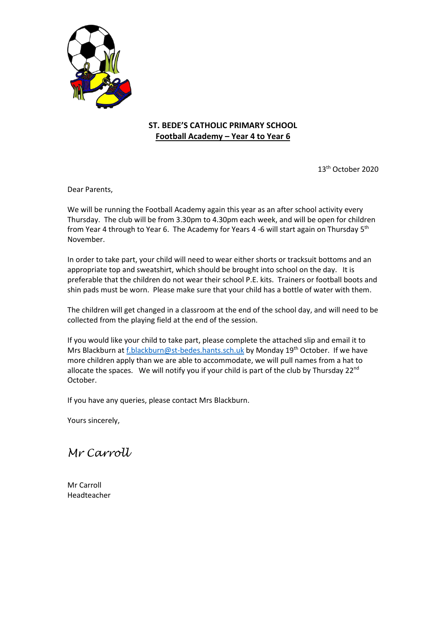

## **ST. BEDE'S CATHOLIC PRIMARY SCHOOL Football Academy – Year 4 to Year 6**

13th October 2020

Dear Parents,

We will be running the Football Academy again this year as an after school activity every Thursday. The club will be from 3.30pm to 4.30pm each week, and will be open for children from Year 4 through to Year 6. The Academy for Years 4 -6 will start again on Thursday 5<sup>th</sup> November.

In order to take part, your child will need to wear either shorts or tracksuit bottoms and an appropriate top and sweatshirt, which should be brought into school on the day. It is preferable that the children do not wear their school P.E. kits. Trainers or football boots and shin pads must be worn. Please make sure that your child has a bottle of water with them.

The children will get changed in a classroom at the end of the school day, and will need to be collected from the playing field at the end of the session.

If you would like your child to take part, please complete the attached slip and email it to Mrs Blackburn a[t f.blackburn@st-bedes.hants.sch.uk](mailto:f.blackburn@st-bedes.hants.sch.uk) by Monday 19<sup>th</sup> October. If we have more children apply than we are able to accommodate, we will pull names from a hat to allocate the spaces. We will notify you if your child is part of the club by Thursday 22<sup>nd</sup> October.

If you have any queries, please contact Mrs Blackburn.

Yours sincerely,

*Mr Carroll*

Mr Carroll Headteacher